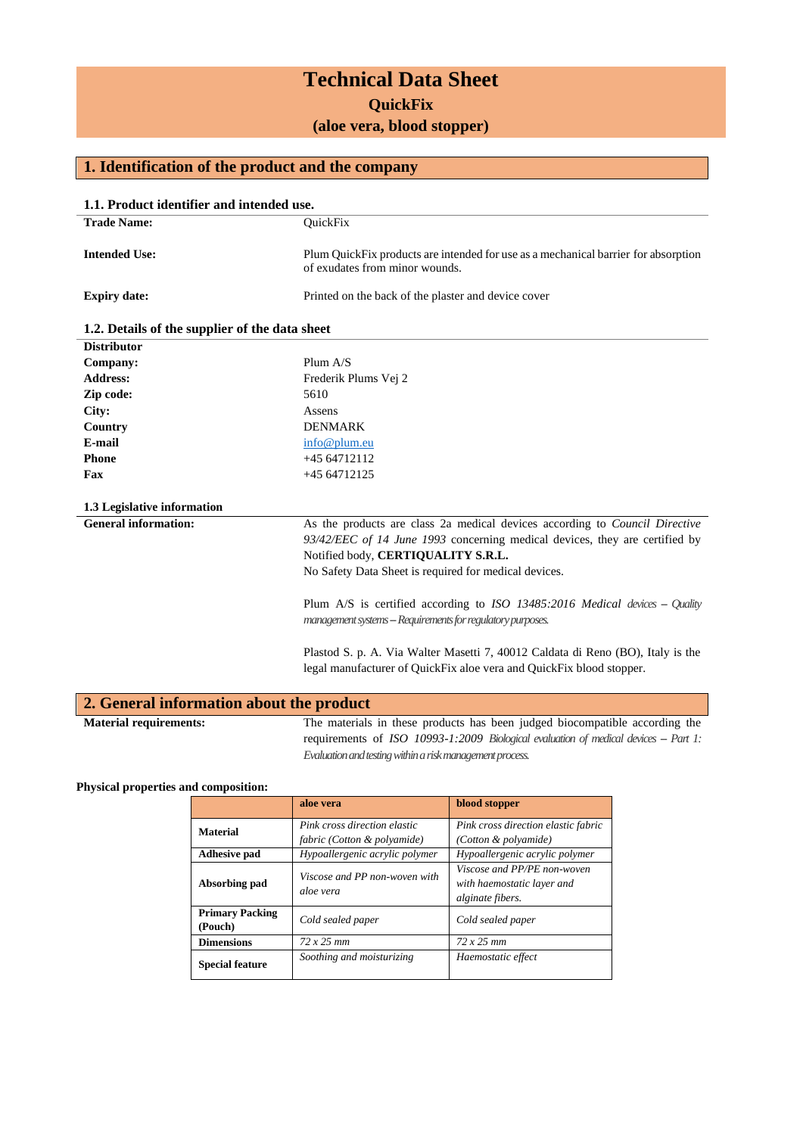# **Technical Data Sheet**

**QuickFix**

**(aloe vera, blood stopper)**

## **1. Identification of the product and the company**

| 1.1. Product identifier and intended use.      |                                                                                                                                                                                                                                                                                                                                                                                                                                                                                                   |  |  |
|------------------------------------------------|---------------------------------------------------------------------------------------------------------------------------------------------------------------------------------------------------------------------------------------------------------------------------------------------------------------------------------------------------------------------------------------------------------------------------------------------------------------------------------------------------|--|--|
| <b>Trade Name:</b>                             | QuickFix                                                                                                                                                                                                                                                                                                                                                                                                                                                                                          |  |  |
| <b>Intended Use:</b>                           | Plum QuickFix products are intended for use as a mechanical barrier for absorption<br>of exudates from minor wounds.                                                                                                                                                                                                                                                                                                                                                                              |  |  |
| <b>Expiry date:</b>                            | Printed on the back of the plaster and device cover                                                                                                                                                                                                                                                                                                                                                                                                                                               |  |  |
| 1.2. Details of the supplier of the data sheet |                                                                                                                                                                                                                                                                                                                                                                                                                                                                                                   |  |  |
| <b>Distributor</b>                             |                                                                                                                                                                                                                                                                                                                                                                                                                                                                                                   |  |  |
| Company:                                       | Plum $A/S$                                                                                                                                                                                                                                                                                                                                                                                                                                                                                        |  |  |
| <b>Address:</b>                                | Frederik Plums Vej 2                                                                                                                                                                                                                                                                                                                                                                                                                                                                              |  |  |
| Zip code:                                      | 5610                                                                                                                                                                                                                                                                                                                                                                                                                                                                                              |  |  |
| City:                                          | Assens                                                                                                                                                                                                                                                                                                                                                                                                                                                                                            |  |  |
| Country                                        | <b>DENMARK</b>                                                                                                                                                                                                                                                                                                                                                                                                                                                                                    |  |  |
| E-mail                                         | info@plum.eu                                                                                                                                                                                                                                                                                                                                                                                                                                                                                      |  |  |
| <b>Phone</b>                                   | +45 64712112                                                                                                                                                                                                                                                                                                                                                                                                                                                                                      |  |  |
| Fax                                            | +45 64712125                                                                                                                                                                                                                                                                                                                                                                                                                                                                                      |  |  |
| 1.3 Legislative information                    |                                                                                                                                                                                                                                                                                                                                                                                                                                                                                                   |  |  |
| <b>General information:</b>                    | As the products are class 2a medical devices according to <i>Council Directive</i><br>93/42/EEC of 14 June 1993 concerning medical devices, they are certified by<br>Notified body, CERTIQUALITY S.R.L.<br>No Safety Data Sheet is required for medical devices.<br>Plum A/S is certified according to ISO 13485:2016 Medical devices - Quality<br>management systems -- Requirements for regulatory purposes.<br>Plastod S. p. A. Via Walter Masetti 7, 40012 Caldata di Reno (BO), Italy is the |  |  |
|                                                | legal manufacturer of QuickFix aloe vera and QuickFix blood stopper.                                                                                                                                                                                                                                                                                                                                                                                                                              |  |  |
| 2. General information about the product       |                                                                                                                                                                                                                                                                                                                                                                                                                                                                                                   |  |  |
| <b>Material requirements:</b>                  | The materials in these products has been judged biocompatible according the<br>requirements of $ISO$ 10003-1:2000 Biological evaluation of medical devices -- Part 1:                                                                                                                                                                                                                                                                                                                             |  |  |

requirements of *ISO 10993-1:2009 Biological evaluation of medical devices -- Part 1: Evaluation and testing within a risk management process.*

#### **Physical properties and composition:**

|                                   | aloe vera                                                   | blood stopper                                                                 |
|-----------------------------------|-------------------------------------------------------------|-------------------------------------------------------------------------------|
| <b>Material</b>                   | Pink cross direction elastic<br>fabric (Cotton & polyamide) | Pink cross direction elastic fabric<br>(Cotton & polyamide)                   |
| <b>Adhesive pad</b>               | Hypoallergenic acrylic polymer                              | Hypoallergenic acrylic polymer                                                |
| Absorbing pad                     | Viscose and PP non-woven with<br>aloe vera                  | Viscose and PP/PE non-woven<br>with haemostatic layer and<br>alginate fibers. |
| <b>Primary Packing</b><br>(Pouch) | Cold sealed paper                                           | Cold sealed paper                                                             |
| <b>Dimensions</b>                 | $72 \times 25 \; mm$                                        | $72x25$ mm                                                                    |
| <b>Special feature</b>            | Soothing and moisturizing                                   | Haemostatic effect                                                            |